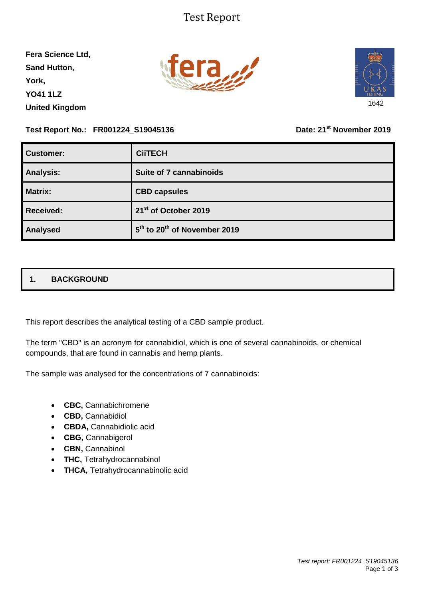### Test Report

**Fera Science Ltd, Sand Hutton, York, YO41 1LZ United Kingdom**





**Test Report No.: FR001224\_S19045136 Date: 21st November 2019**

| <b>Customer:</b> | <b>CiiTECH</b>                                       |
|------------------|------------------------------------------------------|
| <b>Analysis:</b> | Suite of 7 cannabinoids                              |
| Matrix:          | <b>CBD capsules</b>                                  |
| <b>Received:</b> | 21 <sup>st</sup> of October 2019                     |
| Analysed         | 5 <sup>th</sup> to 20 <sup>th</sup> of November 2019 |

### **1. BACKGROUND**

This report describes the analytical testing of a CBD sample product.

The term "CBD" is an acronym for cannabidiol, which is one of several cannabinoids, or chemical compounds, that are found in cannabis and hemp plants.

The sample was analysed for the concentrations of 7 cannabinoids:

- **CBC,** Cannabichromene
- **CBD,** Cannabidiol
- **CBDA,** Cannabidiolic acid
- **CBG,** Cannabigerol
- **CBN, Cannabinol**
- **THC,** Tetrahydrocannabinol
- **THCA,** Tetrahydrocannabinolic acid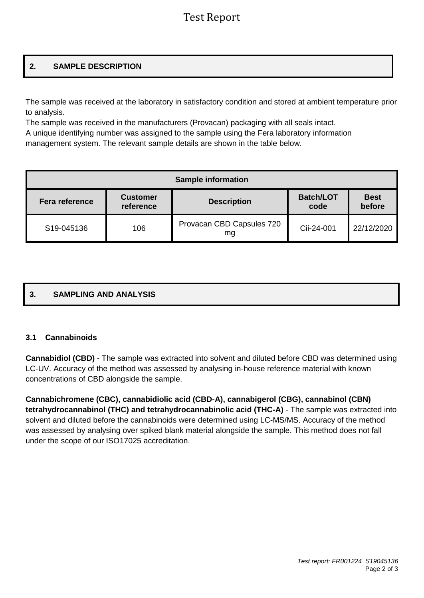## Test Report

### **2. SAMPLE DESCRIPTION**

The sample was received at the laboratory in satisfactory condition and stored at ambient temperature prior to analysis.

The sample was received in the manufacturers (Provacan) packaging with all seals intact. A unique identifying number was assigned to the sample using the Fera laboratory information

management system. The relevant sample details are shown in the table below.

| <b>Sample information</b> |                              |                                 |                          |                       |  |  |
|---------------------------|------------------------------|---------------------------------|--------------------------|-----------------------|--|--|
| Fera reference            | <b>Customer</b><br>reference | <b>Description</b>              | <b>Batch/LOT</b><br>code | <b>Best</b><br>before |  |  |
| S19-045136                | 106                          | Provacan CBD Capsules 720<br>mg | Cii-24-001               | 22/12/2020            |  |  |

# **3. SAMPLING AND ANALYSIS**

### **3.1 Cannabinoids**

**Cannabidiol (CBD)** - The sample was extracted into solvent and diluted before CBD was determined using LC-UV. Accuracy of the method was assessed by analysing in-house reference material with known concentrations of CBD alongside the sample.

**Cannabichromene (CBC), cannabidiolic acid (CBD-A), cannabigerol (CBG), cannabinol (CBN) tetrahydrocannabinol (THC) and tetrahydrocannabinolic acid (THC-A)** - The sample was extracted into solvent and diluted before the cannabinoids were determined using LC-MS/MS. Accuracy of the method was assessed by analysing over spiked blank material alongside the sample. This method does not fall under the scope of our ISO17025 accreditation.